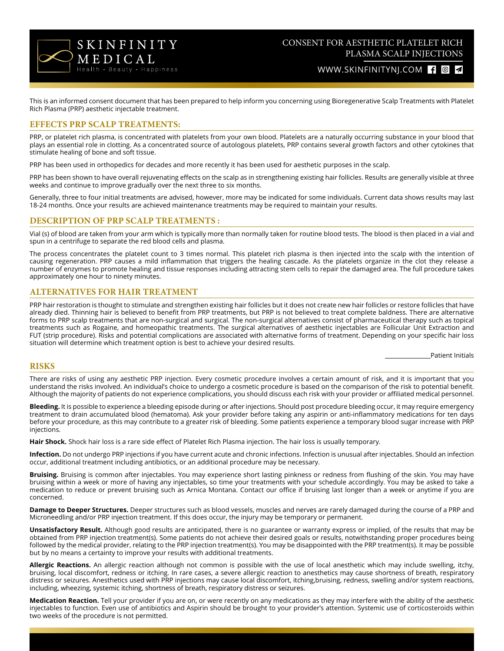

## CONSENT FOR AESTHETIC PLATELET RICH PLASMA SCALP INJECTIONS

# WWW.SKINFINITYNJ.COM f <sup>o</sup>

This is an informed consent document that has been prepared to help inform you concerning using Bioregenerative Scalp Treatments with Platelet Rich Plasma (PRP) aesthetic injectable treatment.

### **EFFECTS PRP SCALP TREATMENTS:**

PRP, or platelet rich plasma, is concentrated with platelets from your own blood. Platelets are a naturally occurring substance in your blood that plays an essential role in clotting. As a concentrated source of autologous platelets, PRP contains several growth factors and other cytokines that stimulate healing of bone and soft tissue.

PRP has been used in orthopedics for decades and more recently it has been used for aesthetic purposes in the scalp.

PRP has been shown to have overall rejuvenating effects on the scalp as in strengthening existing hair follicles. Results are generally visible at three weeks and continue to improve gradually over the next three to six months.

Generally, three to four initial treatments are advised, however, more may be indicated for some individuals. Current data shows results may last 18-24 months. Once your results are achieved maintenance treatments may be required to maintain your results.

#### **DESCRIPTION OF PRP SCALP TREATMENTS :**

Vial (s) of blood are taken from your arm which is typically more than normally taken for routine blood tests. The blood is then placed in a vial and spun in a centrifuge to separate the red blood cells and plasma.

The process concentrates the platelet count to 3 times normal. This platelet rich plasma is then injected into the scalp with the intention of causing regeneration. PRP causes a mild inflammation that triggers the healing cascade. As the platelets organize in the clot they release a number of enzymes to promote healing and tissue responses including attracting stem cells to repair the damaged area. The full procedure takes approximately one hour to ninety minutes.

#### **ALTERNATIVES FOR HAIR TREATMENT**

PRP hair restoration is thought to stimulate and strengthen existing hair follicles but it does not create new hair follicles or restore follicles that have already died. Thinning hair is believed to benefit from PRP treatments, but PRP is not believed to treat complete baldness. There are alternative forms to PRP scalp treatments that are non-surgical and surgical. The non-surgical alternatives consist of pharmaceutical therapy such as topical treatments such as Rogaine, and homeopathic treatments. The surgical alternatives of aesthetic injectables are Follicular Unit Extraction and FUT (strip procedure). Risks and potential complications are associated with alternative forms of treatment. Depending on your specific hair loss situation will determine which treatment option is best to achieve your desired results.

example: the control of the control of the control of the control of the control of the control of the control of the control of the control of the control of the control of the control of the control of the control of the

#### **RISKS**

There are risks of using any aesthetic PRP injection. Every cosmetic procedure involves a certain amount of risk, and it is important that you understand the risks involved. An individual's choice to undergo a cosmetic procedure is based on the comparison of the risk to potential benefit. Although the majority of patients do not experience complications, you should discuss each risk with your provider or affiliated medical personnel.

**Bleeding.** It is possible to experience a bleeding episode during or after injections. Should post procedure bleeding occur, it may require emergency treatment to drain accumulated blood (hematoma). Ask your provider before taking any aspirin or anti-inflammatory medications for ten days before your procedure, as this may contribute to a greater risk of bleeding. Some patients experience a temporary blood sugar increase with PRP injections.

**Hair Shock.** Shock hair loss is a rare side effect of Platelet Rich Plasma injection. The hair loss is usually temporary.

**Infection.** Do not undergo PRP injections if you have current acute and chronic infections. Infection is unusual after injectables. Should an infection occur, additional treatment including antibiotics, or an additional procedure may be necessary.

**Bruising.** Bruising is common after injectables. You may experience short lasting pinkness or redness from flushing of the skin. You may have bruising within a week or more of having any injectables, so time your treatments with your schedule accordingly. You may be asked to take a medication to reduce or prevent bruising such as Arnica Montana. Contact our office if bruising last longer than a week or anytime if you are concerned.

**Damage to Deeper Structures.** Deeper structures such as blood vessels, muscles and nerves are rarely damaged during the course of a PRP and Microneedling and/or PRP injection treatment. If this does occur, the injury may be temporary or permanent.

**Unsatisfactory Result.** Although good results are anticipated, there is no guarantee or warranty express or implied, of the results that may be obtained from PRP injection treatment(s). Some patients do not achieve their desired goals or results, notwithstanding proper procedures being followed by the medical provider, relating to the PRP injection treatment(s). You may be disappointed with the PRP treatment(s). It may be possible but by no means a certainty to improve your results with additional treatments.

**Allergic Reactions.** An allergic reaction although not common is possible with the use of local anesthetic which may include swelling, itchy, bruising, local discomfort, redness or itching. In rare cases, a severe allergic reaction to anesthetics may cause shortness of breath, respiratory distress or seizures. Anesthetics used with PRP injections may cause local discomfort, itching,bruising, redness, swelling and/or system reactions, including, wheezing, systemic itching, shortness of breath, respiratory distress or seizures.

**Medication Reaction.** Tell your provider if you are on, or were recently on any medications as they may interfere with the ability of the aesthetic injectables to function. Even use of antibiotics and Aspirin should be brought to your provider's attention. Systemic use of corticosteroids within two weeks of the procedure is not permitted.